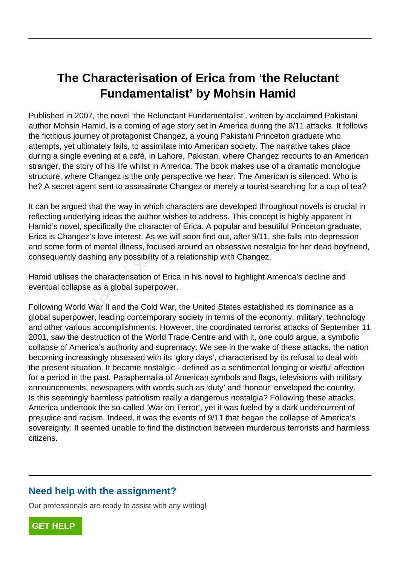# **The Characterisation of Erica from 'the Reluctant Fundamentalist' by Mohsin Hamid**

Published in 2007, the novel 'the Relunctant Fundamentalist', written by acclaimed Pakistani author Mohsin Hamid, is a coming of age story set in America during the 9/11 attacks. It follows the fictitious journey of protagonist Changez, a young Pakistani Princeton graduate who attempts, yet ultimately fails, to assimilate into American society. The narrative takes place during a single evening at a café, in Lahore, Pakistan, where Changez recounts to an American stranger, the story of his life whilst in America. The book makes use of a dramatic monologue structure, where Changez is the only perspective we hear. The American is silenced. Who is he? A secret agent sent to assassinate Changez or merely a tourist searching for a cup of tea?

It can be argued that the way in which characters are developed throughout novels is crucial in reflecting underlying ideas the author wishes to address. This concept is highly apparent in Hamid's novel, specifically the character of Erica. A popular and beautiful Princeton graduate, Erica is Changez's love interest. As we will soon find out, after 9/11, she falls into depression and some form of mental illness, focused around an obsessive nostalgia for her dead boyfriend, consequently dashing any possibility of a relationship with Changez. in which characters<br>underlying ideas the author wishes to a<br>ovel, specifically the character of Erica.<br>nangez's love interest. As we will soon<br>form of mental illness, focused around<br>ntly dashing any possibility of a relati

Hamid utilises the characterisation of Erica in his novel to highlight America's decline and eventual collapse as a global superpower.

Following World War II and the Cold War, the United States established its dominance as a global superpower, leading contemporary society in terms of the economy, military, technology and other various accomplishments. However, the coordinated terrorist attacks of September 11 2001, saw the destruction of the World Trade Centre and with it, one could argue, a symbolic collapse of America's authority and supremacy. We see in the wake of these attacks, the nation becoming increasingly obsessed with its 'glory days', characterised by its refusal to deal with the present situation. It became nostalgic - defined as a sentimental longing or wistful affection for a period in the past. Paraphernalia of American symbols and flags, televisions with military announcements, newspapers with words such as 'duty' and 'honour' enveloped the country. Is this seemingly harmless patriotism really a dangerous nostalgia? Following these attacks, America undertook the so-called 'War on Terror', yet it was fueled by a dark undercurrent of prejudice and racism. Indeed, it was the events of 9/11 that began the collapse of America's sovereignty. It seemed unable to find the distinction between murderous terrorists and harmless citizens.

# **Need help with the assignment?**

Our professionals are ready to assist with any writing!

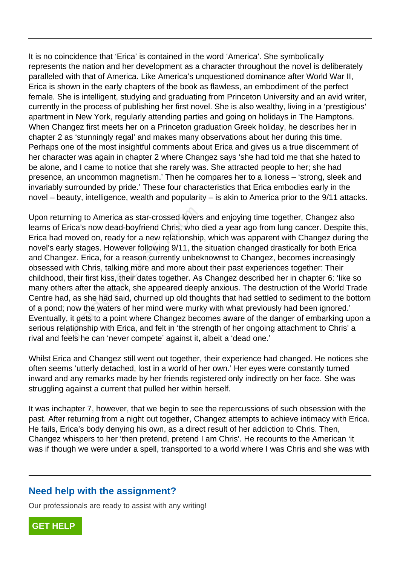It is no coincidence that 'Erica' is contained in the word 'America'. She symbolically represents the nation and her development as a character throughout the novel is deliberately paralleled with that of America. Like America's unquestioned dominance after World War II, Erica is shown in the early chapters of the book as flawless, an embodiment of the perfect female. She is intelligent, studying and graduating from Princeton University and an avid writer, currently in the process of publishing her first novel. She is also wealthy, living in a 'prestigious' apartment in New York, regularly attending parties and going on holidays in The Hamptons. When Changez first meets her on a Princeton graduation Greek holiday, he describes her in chapter 2 as 'stunningly regal' and makes many observations about her during this time. Perhaps one of the most insightful comments about Erica and gives us a true discernment of her character was again in chapter 2 where Changez says 'she had told me that she hated to be alone, and I came to notice that she rarely was. She attracted people to her; she had presence, an uncommon magnetism.' Then he compares her to a lioness – 'strong, sleek and invariably surrounded by pride.' These four characteristics that Erica embodies early in the novel – beauty, intelligence, wealth and popularity – is akin to America prior to the 9/11 attacks.

Upon returning to America as star-crossed lovers and enjoying time together, Changez also learns of Erica's now dead-boyfriend Chris, who died a year ago from lung cancer. Despite this, Erica had moved on, ready for a new relationship, which was apparent with Changez during the novel's early stages. However following 9/11, the situation changed drastically for both Erica and Changez. Erica, for a reason currently unbeknownst to Changez, becomes increasingly obsessed with Chris, talking more and more about their past experiences together: Their childhood, their first kiss, their dates together. As Changez described her in chapter 6: 'like so many others after the attack, she appeared deeply anxious. The destruction of the World Trade Centre had, as she had said, churned up old thoughts that had settled to sediment to the bottom of a pond; now the waters of her mind were murky with what previously had been ignored.' Eventually, it gets to a point where Changez becomes aware of the danger of embarking upon a serious relationship with Erica, and felt in 'the strength of her ongoing attachment to Chris' a rival and feels he can 'never compete' against it, albeit a 'dead one.' ring to America as star-crossed lovers<br>
irica's now dead-boyfriend Chris, who of<br>
moved on, ready for a new relationship<br>
rly stages. However following 9/11, the<br>
gez. Erica, for a reason currently unbek<br>
with Chris, talki

Whilst Erica and Changez still went out together, their experience had changed. He notices she often seems 'utterly detached, lost in a world of her own.' Her eyes were constantly turned inward and any remarks made by her friends registered only indirectly on her face. She was struggling against a current that pulled her within herself.

It was inchapter 7, however, that we begin to see the repercussions of such obsession with the past. After returning from a night out together, Changez attempts to achieve intimacy with Erica. He fails, Erica's body denying his own, as a direct result of her addiction to Chris. Then, Changez whispers to her 'then pretend, pretend I am Chris'. He recounts to the American 'it was if though we were under a spell, transported to a world where I was Chris and she was with

#### **Need help with the assignment?**

Our professionals are ready to assist with any writing!

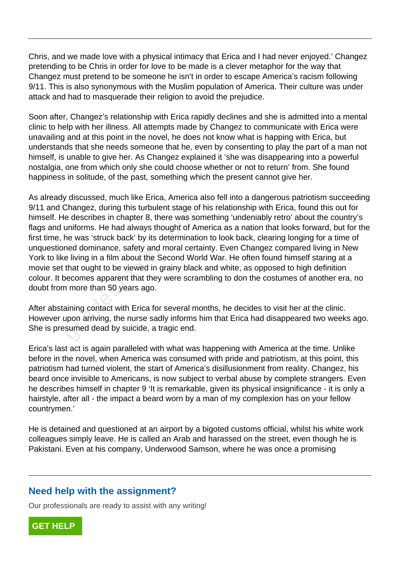Chris, and we made love with a physical intimacy that Erica and I had never enjoyed.' Changez pretending to be Chris in order for love to be made is a clever metaphor for the way that Changez must pretend to be someone he isn't in order to escape America's racism following 9/11. This is also synonymous with the Muslim population of America. Their culture was under attack and had to masquerade their religion to avoid the prejudice.

Soon after, Changez's relationship with Erica rapidly declines and she is admitted into a mental clinic to help with her illness. All attempts made by Changez to communicate with Erica were unavailing and at this point in the novel, he does not know what is happing with Erica, but understands that she needs someone that he, even by consenting to play the part of a man not himself, is unable to give her. As Changez explained it 'she was disappearing into a powerful nostalgia, one from which only she could choose whether or not to return' from. She found happiness in solitude, of the past, something which the present cannot give her.

As already discussed, much like Erica, America also fell into a dangerous patriotism succeeding 9/11 and Changez, during this turbulent stage of his relationship with Erica, found this out for himself. He describes in chapter 8, there was something 'undeniably retro' about the country's flags and uniforms. He had always thought of America as a nation that looks forward, but for the first time, he was 'struck back' by its determination to look back, clearing longing for a time of unquestioned dominance, safety and moral certainty. Even Changez compared living in New York to like living in a film about the Second World War. He often found himself staring at a movie set that ought to be viewed in grainy black and white, as opposed to high definition colour. It becomes apparent that they were scrambling to don the costumes of another era, no doubt from more than 50 years ago. Enarigez, during this turbulent stage of<br>a describes in chapter 8, there was soruniforms. He had always thought of Am<br>ne was 'struck back' by its determinatio<br>ned dominance, safety and moral certa<br>a living in a film about

After abstaining contact with Erica for several months, he decides to visit her at the clinic. However upon arriving, the nurse sadly informs him that Erica had disappeared two weeks ago. She is presumed dead by suicide, a tragic end.

Erica's last act is again paralleled with what was happening with America at the time. Unlike before in the novel, when America was consumed with pride and patriotism, at this point, this patriotism had turned violent, the start of America's disillusionment from reality. Changez, his beard once invisible to Americans, is now subject to verbal abuse by complete strangers. Even he describes himself in chapter 9 'It is remarkable, given its physical insignificance - it is only a hairstyle, after all - the impact a beard worn by a man of my complexion has on your fellow countrymen.'

He is detained and questioned at an airport by a bigoted customs official, whilst his white work colleagues simply leave. He is called an Arab and harassed on the street, even though he is Pakistani. Even at his company, Underwood Samson, where he was once a promising

## **Need help with the assignment?**

Our professionals are ready to assist with any writing!